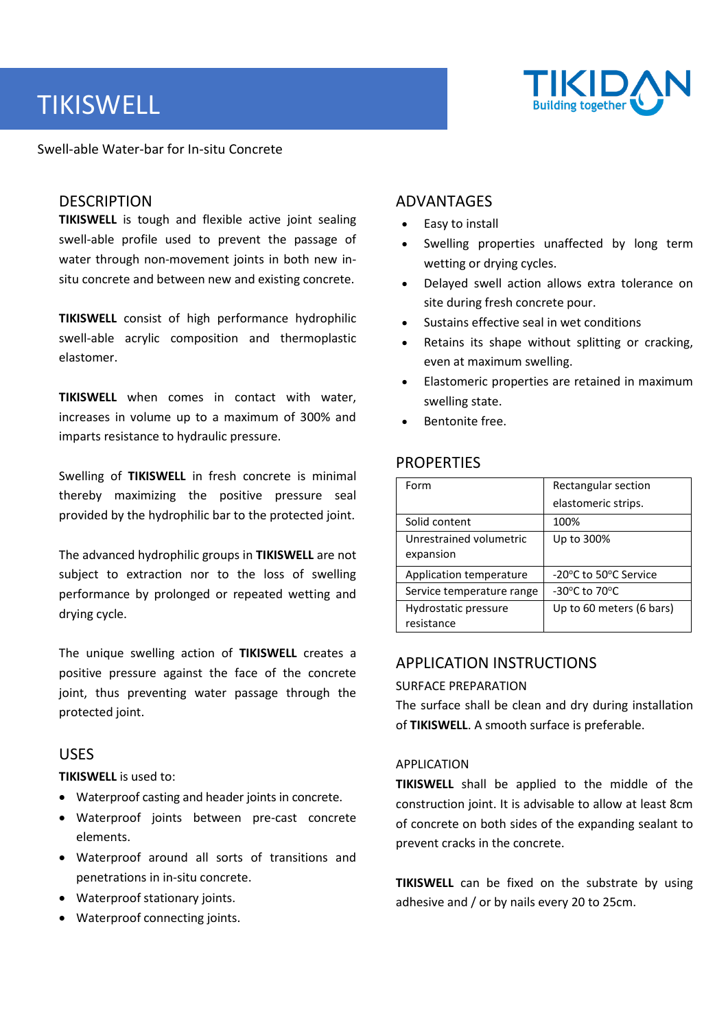# TIKISWELL



Swell-able Water-bar for In-situ Concrete

#### DESCRIPTION

**TIKISWELL** is tough and flexible active joint sealing swell-able profile used to prevent the passage of water through non-movement joints in both new insitu concrete and between new and existing concrete.

**TIKISWELL** consist of high performance hydrophilic swell-able acrylic composition and thermoplastic elastomer.

**TIKISWELL** when comes in contact with water, increases in volume up to a maximum of 300% and imparts resistance to hydraulic pressure.

Swelling of **TIKISWELL** in fresh concrete is minimal thereby maximizing the positive pressure seal provided by the hydrophilic bar to the protected joint.

The advanced hydrophilic groups in **TIKISWELL** are not subject to extraction nor to the loss of swelling performance by prolonged or repeated wetting and drying cycle.

The unique swelling action of **TIKISWELL** creates a positive pressure against the face of the concrete joint, thus preventing water passage through the protected joint.

### USES

**TIKISWELL** is used to:

- Waterproof casting and header joints in concrete.
- Waterproof joints between pre-cast concrete elements.
- Waterproof around all sorts of transitions and penetrations in in-situ concrete.
- Waterproof stationary joints.
- Waterproof connecting joints.

# ADVANTAGES

- Easy to install
- Swelling properties unaffected by long term wetting or drying cycles.
- Delayed swell action allows extra tolerance on site during fresh concrete pour.
- Sustains effective seal in wet conditions
- Retains its shape without splitting or cracking, even at maximum swelling.
- Elastomeric properties are retained in maximum swelling state.
- Bentonite free.

# **PROPERTIES**

| Form                                 | Rectangular section                                 |  |
|--------------------------------------|-----------------------------------------------------|--|
|                                      | elastomeric strips.                                 |  |
| Solid content                        | 100%                                                |  |
| Unrestrained volumetric<br>expansion | Up to 300%                                          |  |
| Application temperature              | -20°C to 50°C Service                               |  |
| Service temperature range            | -30 $\mathrm{^{\circ}C}$ to 70 $\mathrm{^{\circ}C}$ |  |
| Hydrostatic pressure<br>resistance   | Up to 60 meters (6 bars)                            |  |

# APPLICATION INSTRUCTIONS

#### SURFACE PREPARATION

The surface shall be clean and dry during installation of **TIKISWELL**. A smooth surface is preferable.

#### APPLICATION

**TIKISWELL** shall be applied to the middle of the construction joint. It is advisable to allow at least 8cm of concrete on both sides of the expanding sealant to prevent cracks in the concrete.

**TIKISWELL** can be fixed on the substrate by using adhesive and / or by nails every 20 to 25cm.